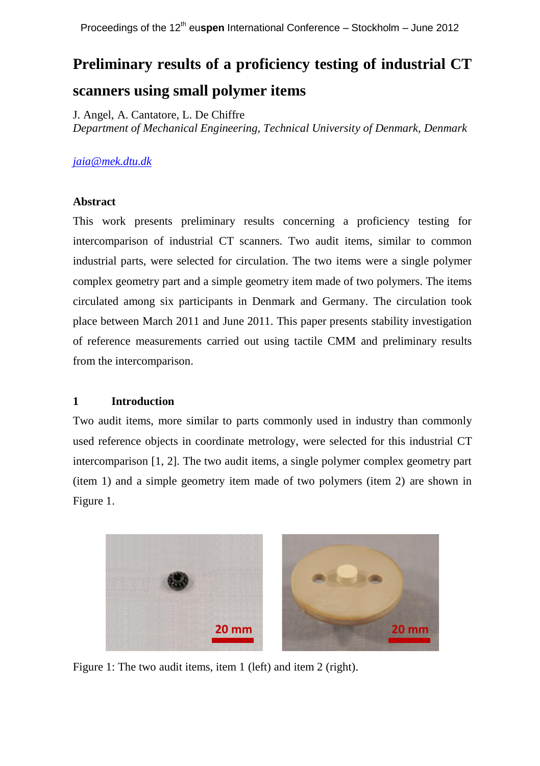# **Preliminary results of a proficiency testing of industrial CT scanners using small polymer items**

J. Angel, A. Cantatore, L. De Chiffre *Department of Mechanical Engineering, Technical University of Denmark, Denmark*

# *[jaia@mek.dtu.dk](mailto:jaia@mek.dtu.dk)*

### **Abstract**

This work presents preliminary results concerning a proficiency testing for intercomparison of industrial CT scanners. Two audit items, similar to common industrial parts, were selected for circulation. The two items were a single polymer complex geometry part and a simple geometry item made of two polymers. The items circulated among six participants in Denmark and Germany. The circulation took place between March 2011 and June 2011. This paper presents stability investigation of reference measurements carried out using tactile CMM and preliminary results from the intercomparison.

# **1 Introduction**

Two audit items, more similar to parts commonly used in industry than commonly used reference objects in coordinate metrology, were selected for this industrial CT intercomparison [1, 2]. The two audit items, a single polymer complex geometry part (item 1) and a simple geometry item made of two polymers (item 2) are shown in Figure 1.



Figure 1: The two audit items, item 1 (left) and item 2 (right).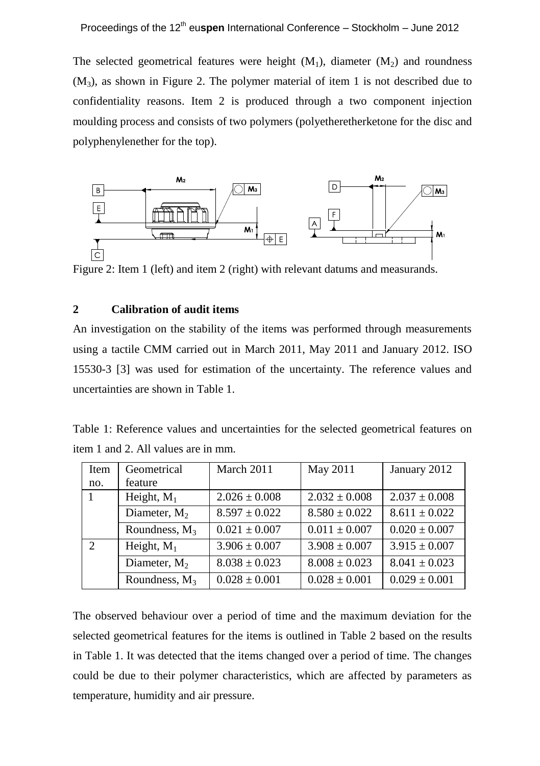The selected geometrical features were height  $(M_1)$ , diameter  $(M_2)$  and roundness  $(M_3)$ , as shown in Figure 2. The polymer material of item 1 is not described due to confidentiality reasons. Item 2 is produced through a two component injection moulding process and consists of two polymers (polyetheretherketone for the disc and polyphenylenether for the top).



#### **2 Calibration of audit items**

An investigation on the stability of the items was performed through measurements using a tactile CMM carried out in March 2011, May 2011 and January 2012. ISO 15530-3 [3] was used for estimation of the uncertainty. The reference values and uncertainties are shown in Table 1.

Table 1: Reference values and uncertainties for the selected geometrical features on item 1 and 2. All values are in mm.

| Item          | Geometrical      | March 2011        | May 2011          | January 2012      |
|---------------|------------------|-------------------|-------------------|-------------------|
| no.           | feature          |                   |                   |                   |
| 1             | Height, $M_1$    | $2.026 \pm 0.008$ | $2.032 + 0.008$   | $2.037 \pm 0.008$ |
|               | Diameter, $M_2$  | $8.597 + 0.022$   | $8.580 + 0.022$   | $8.611 \pm 0.022$ |
|               | Roundness, $M_3$ | $0.021 + 0.007$   | $0.011 \pm 0.007$ | $0.020 + 0.007$   |
| $\mathcal{D}$ | Height, $M_1$    | $3.906 + 0.007$   | $3.908 + 0.007$   | $3.915 \pm 0.007$ |
|               | Diameter, $M_2$  | $8.038 \pm 0.023$ | $8.008 \pm 0.023$ | $8.041 \pm 0.023$ |
|               | Roundness, $M_3$ | $0.028 \pm 0.001$ | $0.028 \pm 0.001$ | $0.029 \pm 0.001$ |

The observed behaviour over a period of time and the maximum deviation for the selected geometrical features for the items is outlined in Table 2 based on the results in Table 1. It was detected that the items changed over a period of time. The changes could be due to their polymer characteristics, which are affected by parameters as temperature, humidity and air pressure.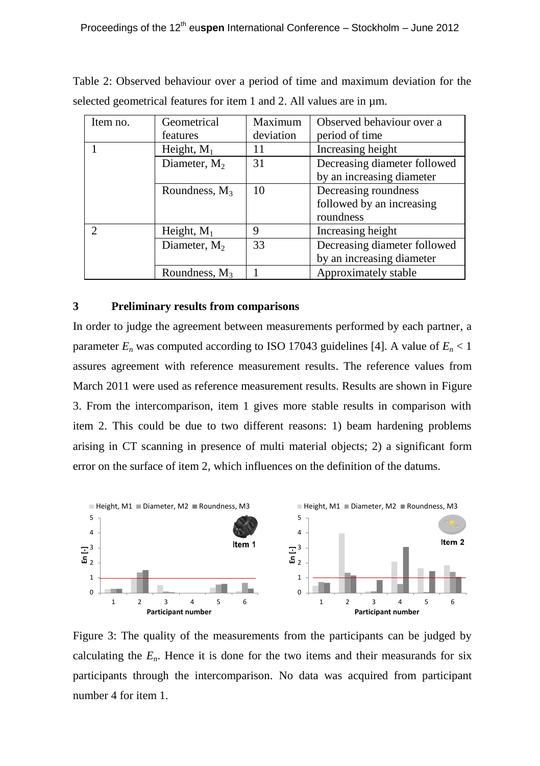| Item no. | Geometrical      | Maximum   | Observed behaviour over a    |
|----------|------------------|-----------|------------------------------|
|          | features         | deviation | period of time               |
|          | Height, $M_1$    | 11        | Increasing height            |
|          | Diameter, $M_2$  | 31        | Decreasing diameter followed |
|          |                  |           | by an increasing diameter    |
|          | Roundness, $M_3$ | 10        | Decreasing roundness         |
|          |                  |           | followed by an increasing    |
|          |                  |           | roundness                    |
|          | Height, $M_1$    | 9         | Increasing height            |
|          | Diameter, $M_2$  | 33        | Decreasing diameter followed |
|          |                  |           | by an increasing diameter    |
|          | Roundness, $M_3$ |           | Approximately stable         |

Table 2: Observed behaviour over a period of time and maximum deviation for the selected geometrical features for item 1 and 2. All values are in  $\mu$ m.

## **3 Preliminary results from comparisons**

In order to judge the agreement between measurements performed by each partner, a parameter  $E_n$  was computed according to ISO 17043 guidelines [4]. A value of  $E_n < 1$ assures agreement with reference measurement results. The reference values from March 2011 were used as reference measurement results. Results are shown in Figure 3. From the intercomparison, item 1 gives more stable results in comparison with item 2. This could be due to two different reasons: 1) beam hardening problems arising in CT scanning in presence of multi material objects; 2) a significant form error on the surface of item 2, which influences on the definition of the datums.



Figure 3: The quality of the measurements from the participants can be judged by calculating the  $E<sub>n</sub>$ . Hence it is done for the two items and their measurands for six participants through the intercomparison. No data was acquired from participant number 4 for item 1.